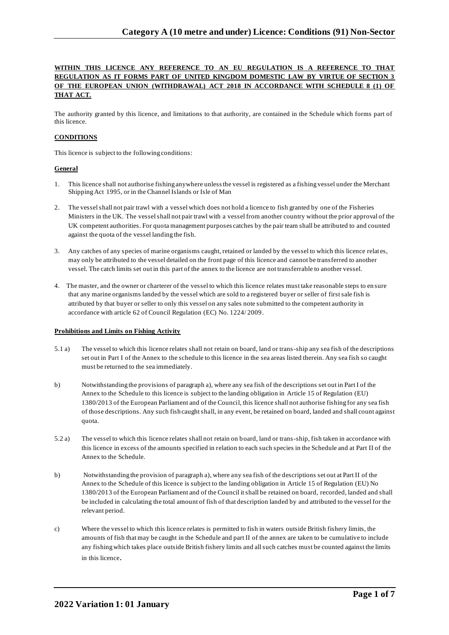# **WITHIN THIS LICENCE ANY REFERENCE TO AN EU REGULATION IS A REFERENCE TO THAT REGULATION AS IT FORMS PART OF UNITED KINGDOM DOMESTIC LAW BY VIRTUE OF SECTION 3 OF THE EUROPEAN UNION (WITHDRAWAL) ACT 2018 IN ACCORDANCE WITH SCHEDULE 8 (1) OF THAT ACT.**

The authority granted by this licence, and limitations to that authority, are contained in the Schedule which forms part of this licence.

# **CONDITIONS**

This licence is subject to the following conditions:

### **General**

- 1. This licence shall not authorise fishing anywhere unless the vessel is registered as a fishing vessel under the Merchant Shipping Act 1995, or in the Channel Islands or Isle of Man
- 2. The vessel shall not pair trawl with a vessel which does not hold a licence to fish granted by one of the Fisheries Ministers in the UK. The vessel shall not pair trawl with a vessel from another country without the prior approval of the UK competent authorities. For quota management purposes catches by the pair team shall be attributed to and counted against the quota of the vessel landing the fish.
- 3. Any catches of any species of marine organisms caught, retained or landed by the vessel to which this licence relat es, may only be attributed to the vessel detailed on the front page of this licence and cannot be transferred to another vessel. The catch limits set out in this part of the annex to the licence are not transferrable to another vessel.
- 4. The master, and the owner or charterer of the vessel to which this licence relates must take reasonable steps to en sure that any marine organisms landed by the vessel which are sold to a registered buyer or seller of first sale fish is attributed by that buyer or seller to only this vessel on any sales note submitted to the competent authority in accordance with article 62 of Council Regulation (EC) No. 1224/ 2009.

#### **Prohibitions and Limits on Fishing Activity**

- 5.1 a) The vessel to which this licence relates shall not retain on board, land or trans-ship any sea fish of the descriptions set out in Part I of the Annex to the schedule to this licence in the sea areas listed therein. Any sea fish so caught must be returned to the sea immediately.
- b) Notwithstanding the provisions of paragraph a), where any sea fish of the descriptions set out in Part I of the Annex to the Schedule to this licence is subject to the landing obligation in Article 15 of Regulation (EU) 1380/2013 of the European Parliament and of the Council, this licence shall not authorise fishing for any sea fish of those descriptions. Any such fish caught shall, in any event, be retained on board, landed and shall count against quota.
- 5.2 a) The vessel to which this licence relates shall not retain on board, land or trans-ship, fish taken in accordance with this licence in excess of the amounts specified in relation to each such species in the Schedule and at Part II of the Annex to the Schedule.
- b) Notwithstanding the provision of paragraph a), where any sea fish of the descriptions set out at Part II of the Annex to the Schedule of this licence is subject to the landing obligation in Article 15 of Regulation (EU) No 1380/2013 of the European Parliament and of the Council it shall be retained on board, recorded, landed and shall be included in calculating the total amount of fish of that description landed by and attributed to the vessel for the relevant period.
- c) Where the vessel to which this licence relates is permitted to fish in waters outside British fishery limits, the amounts of fish that may be caught in the Schedule and part II of the annex are taken to be cumulative to include any fishing which takes place outside British fishery limits and all such catches must be counted against the limits in this licence.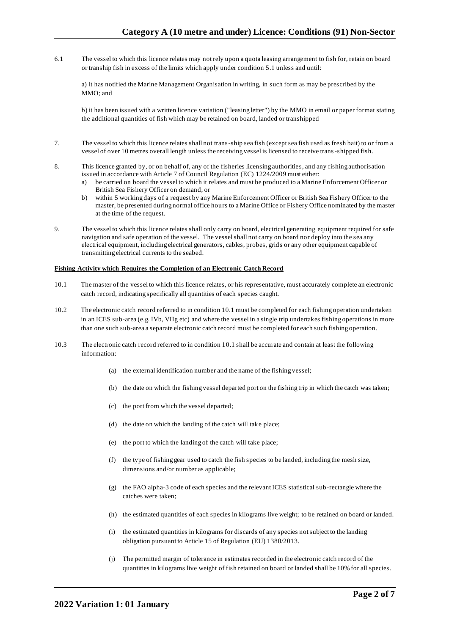6.1 The vessel to which this licence relates may not rely upon a quota leasing arrangement to fish for, retain on board or tranship fish in excess of the limits which apply under condition 5.1 unless and until:

a) it has notified the Marine Management Organisation in writing, in such form as may be prescribed by the MMO; and

b) it has been issued with a written licence variation ("leasing letter") by the MMO in email or paper format stating the additional quantities of fish which may be retained on board, landed or transhipped

- 7. The vessel to which this licence relates shall not trans-ship sea fish (except sea fish used as fresh bait) to or from a vessel of over 10 metres overall length unless the receiving vessel is licensed to receive trans-shipped fish.
- 8. This licence granted by, or on behalf of, any of the fisheries licensing authorities, and any fishing authorisation issued in accordance with Article 7 of Council Regulation (EC) 1224/2009 must either:
	- a) be carried on board the vessel to which it relates and must be produced to a Marine Enforcement Officer or British Sea Fishery Officer on demand; or
	- b) within 5 working days of a request by any Marine Enforcement Officer or British Sea Fishery Officer to the master, be presented during normal office hours to a Marine Office or Fishery Office nominated by the master at the time of the request.
- 9. The vessel to which this licence relates shall only carry on board, electrical generating equipment required for safe navigation and safe operation of the vessel. The vessel shall not carry on board nor deploy into the sea any electrical equipment, including electrical generators, cables, probes, grids or any other equipment capable of transmitting electrical currents to the seabed.

### **Fishing Activity which Requires the Completion of an Electronic Catch Record**

- 10.1 The master of the vessel to which this licence relates, or his representative, must accurately complete an electronic catch record, indicating specifically all quantities of each species caught.
- 10.2 The electronic catch record referred to in condition 10.1 must be completed for each fishing operation undertaken in an ICES sub-area (e.g. IVb, VIIg etc) and where the vessel in a single trip undertakes fishing operations in more than one such sub-area a separate electronic catch record must be completed for each such fishing operation.
- 10.3 The electronic catch record referred to in condition 10.1 shall be accurate and contain at least the following information:
	- (a) the external identification number and the name of the fishing vessel;
	- (b) the date on which the fishing vessel departed port on the fishing trip in which the catch was taken;
	- (c) the port from which the vessel departed;
	- (d) the date on which the landing of the catch will take place;
	- (e) the port to which the landing of the catch will take place;
	- (f) the type of fishing gear used to catch the fish species to be landed, including the mesh size, dimensions and/or number as applicable;
	- (g) the FAO alpha-3 code of each species and the relevant ICES statistical sub-rectangle where the catches were taken;
	- (h) the estimated quantities of each species in kilograms live weight; to be retained on board or landed.
	- (i) the estimated quantities in kilograms for discards of any species not subject to the landing obligation pursuant to Article 15 of Regulation (EU) 1380/2013.
	- (j) The permitted margin of tolerance in estimates recorded in the electronic catch record of the quantities in kilograms live weight of fish retained on board or landed shall be 10% for all species.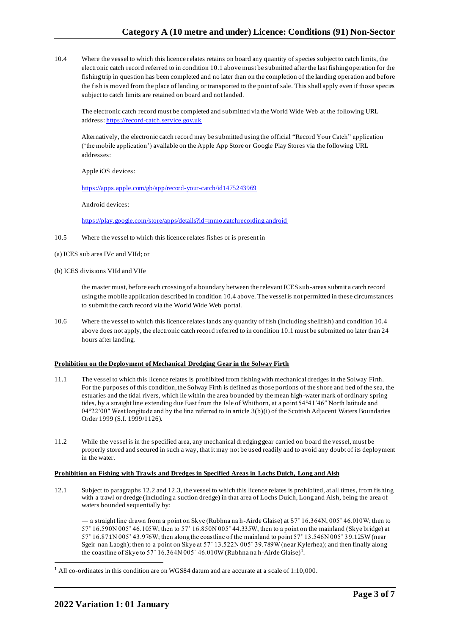10.4 Where the vessel to which this licence relates retains on board any quantity of species subject to catch limits, the electronic catch record referred to in condition 10.1 above must be submitted after the last fishing operation for the fishing trip in question has been completed and no later than on the completion of the landing operation and before the fish is moved from the place of landing or transported to the point of sale. This shall apply even if those species subject to catch limits are retained on board and not landed.

The electronic catch record must be completed and submitted via the World Wide Web at the following URL address: [https://record-catch.service.gov.uk](https://record-catch.service.gov.uk/)

Alternatively, the electronic catch record may be submitted using the official "Record Your Catch" application ('the mobile application') available on the Apple App Store or Google Play Stores via the following URL addresses:

Apple iOS devices:

#### <https://apps.apple.com/gb/app/record-your-catch/id1475243969>

Android devices:

<https://play.google.com/store/apps/details?id=mmo.catchrecording.android>

- 10.5 Where the vessel to which this licence relates fishes or is present in
- (a) ICES sub area IVc and VIId; or
- (b) ICES divisions VIId and VIIe

the master must, before each crossing of a boundary between the relevant ICES sub-areas submit a catch record using the mobile application described in condition 10.4 above. The vessel is not permitted in these circumstances to submit the catch record via the World Wide Web portal.

10.6 Where the vessel to which this licence relates lands any quantity of fish (including shellfish) and condition 10.4 above does not apply, the electronic catch record referred to in condition 10.1 must be submitted no later than 24 hours after landing.

#### **Prohibition on the Deployment of Mechanical Dredging Gear in the Solway Firth**

- 11.1 The vessel to which this licence relates is prohibited from fishing with mechanical dredges in the Solway Firth. For the purposes of this condition, the Solway Firth is defined as those portions of the shore and bed of the sea, the estuaries and the tidal rivers, which lie within the area bounded by the mean high-water mark of ordinary spring tides, by a straight line extending due East from the Isle of Whithorn, at a point 54°41′46″ North latitude and 04°22′00″ West longitude and by the line referred to in article 3(b)(i) of the Scottish Adjacent Waters Boundaries Order 1999 (S.I. 1999/1126).
- 11.2 While the vessel is in the specified area, any mechanical dredging gear carried on board the vessel, must be properly stored and secured in such a way, that it may not be used readily and to avoid any doubt of its deployment in the water.

#### **Prohibition on Fishing with Trawls and Dredges in Specified Areas in Lochs Duich, Long and Alsh**

12.1 Subject to paragraphs 12.2 and 12.3, the vessel to which this licence relates is prohibited, at all times, from fishing with a trawl or dredge (including a suction dredge) in that area of Lochs Duich, Long and Alsh, being the area of waters bounded sequentially by:

― a straight line drawn from a point on Skye (Rubhna na h-Airde Glaise) at 57˚ 16.364N, 005˚ 46.010W; then to 57˚ 16.590N 005˚ 46.105W; then to 57˚ 16.850N 005˚ 44.335W, then to a point on the mainland (Skye bridge) at 57˚ 16.871N 005˚ 43.976W; then along the coastline of the mainland to point 57˚ 13.546N 005˚ 39.125W (near Sgeir nan Laogh); then to a point on Skye at 57˚ 13.522N 005˚ 39.789W (near Kylerhea); and then finally along the coastline of Skye to 57° 16.364N 005° 46.010W (Rubhna na h-Airde Glaise)<sup>1</sup>.

 $1$  All co-ordinates in this condition are on WGS84 datum and are accurate at a scale of 1:10,000.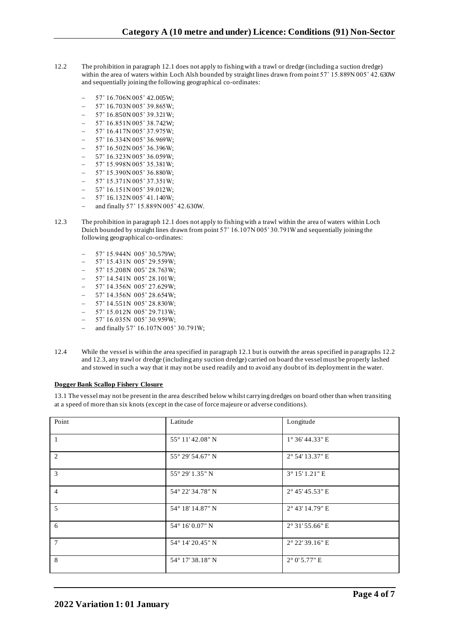- 12.2 The prohibition in paragraph 12.1 does not apply to fishing with a trawl or dredge (including a suction dredge) within the area of waters within Loch Alsh bounded by straight lines drawn from point 57° 15.889N 005° 42.630W and sequentially joining the following geographical co-ordinates:
	- − 57˚ 16.706N 005˚ 42.005W;
	- − 57˚ 16.703N 005˚ 39.865W;
	- − 57˚ 16.850N 005˚ 39.321W;
	- − 57˚ 16.851N 005˚ 38.742W;
	- − 57˚ 16.417N 005˚ 37.975W;
	- − 57˚ 16.334N 005˚ 36.969W;
	- − 57˚ 16.502N 005˚ 36.396W;
	- − 57˚ 16.323N 005˚ 36.059W;
	- − 57˚ 15.998N 005˚ 35.381W;
	- − 57˚ 15.390N 005˚ 36.880W;
	- − 57˚ 15.371N 005˚ 37.351W;
	- − 57˚ 16.151N 005˚ 39.012W;
	- − 57˚ 16.132N 005˚ 41.140W;
	- − and finally 57˚ 15.889N 005˚ 42.630W.
- 12.3 The prohibition in paragraph 12.1 does not apply to fishing with a trawl within the area of waters within Loch Duich bounded by straight lines drawn from point 57˚ 16.107N 005˚ 30.791W and sequentially joining the following geographical co-ordinates:
	- − 57˚ 15.944N 005˚ 30.579W;
	- − 57˚ 15.431N 005˚ 29.559W;
	- 57° 15.208N 005° 28.763W;
	- − 57˚ 14.541N 005˚ 28.101W;
	- − 57˚ 14.356N 005˚ 27.629W;
	- − 57˚ 14.356N 005˚ 28.654W;
	- − 57˚ 14.551N 005˚ 28.830W;
	- − 57˚ 15.012N 005˚ 29.713W;
	- − 57˚ 16.035N 005˚ 30.959W;
	- − and finally 57˚ 16.107N 005˚ 30.791W;
- 12.4 While the vessel is within the area specified in paragraph 12.1 but is outwith the areas specified in paragraphs 12.2 and 12.3, any trawl or dredge (including any suction dredge) carried on board the vessel must be properly lashed and stowed in such a way that it may not be used readily and to avoid any doubt of its deployment in the water.

#### **Dogger Bank Scallop Fishery Closure**

13.1 The vessel may not be present in the area described below whilst carrying dredges on board other than when transiting at a speed of more than six knots (except in the case of force majeure or adverse conditions).

| Point           | Latitude         | Longitude              |
|-----------------|------------------|------------------------|
| $\overline{1}$  | 55° 11' 42.08" N | 1° 36' 44.33" E        |
| 2               | 55° 29′ 54.67" N | 2° 54' 13.37" E        |
| $\overline{3}$  | 55° 29′ 1.35" N  | 3° 15' 1.21" E         |
| $\overline{4}$  | 54° 22' 34.78" N | 2° 45' 45.53" E        |
| 5               | 54° 18' 14.87" N | 2° 43' 14.79" E        |
| 6               | 54° 16' 0.07" N  | 2° 31' 55.66" E        |
| $7\overline{ }$ | 54° 14' 20.45" N | 2° 22' 39.16" E        |
| 8               | 54° 17' 38.18" N | $2^{\circ}$ 0' 5.77" E |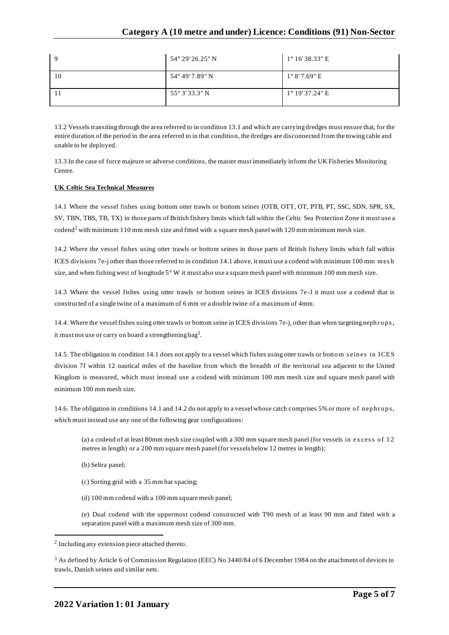| q  | $54^{\circ} 29' 26.25'' N$ | $1^{\circ} 16' 38.33''$ E |
|----|----------------------------|---------------------------|
| 10 | 54° 49' 7.89" N            | $1^{\circ} 8'$ 7.69" E    |
|    | $55^{\circ}$ 3' 33.3" N    | $1^{\circ}$ 19' 37.24" E  |

13.2 Vessels transiting through the area referred to in condition 13.1 and which are carrying dredges must ensure that, for the entire duration of the period in the area referred to in that condition, the dredges are disconnected from the towing cable and unable to be deployed.

13.3 In the case of force majeure or adverse conditions, the master must immediately inform the UK Fisheries Monitoring Centre.

## **UK Celtic Sea Technical Measures**

14.1 Where the vessel fishes using bottom otter trawls or bottom seines (OTB, OTT, OT, PTB, PT, SSC, SDN, SPR, SX, SV, TBN, TBS, TB, TX) in those parts of British fishery limits which fall within the Celtic Sea Protection Zone it must use a codend<sup>2</sup> with minimum 110 mm mesh size and fitted with a square mesh panel with 120 mm minimum mesh size.

14.2 Where the vessel fishes using otter trawls or bottom seines in those parts of British fishery limits which fall within ICES divisions 7e-j other than those referred to in condition 14.1 above, it must use a codend with minimum 100 mm mesh size, and when fishing west of longitude  $5^{\circ}$  W it must also use a square mesh panel with minimum 100 mm mesh size.

14.3 Where the vessel fishes using otter trawls or bottom seines in ICES divisions 7e -J it must use a codend that is constructed of a single twine of a maximum of 6 mm or a double twine of a maximum of 4mm.

14.4. Where the vessel fishes using otter trawls or bottom seine in ICES divisions 7e-j, other than when targeting nephrops, it must not use or carry on board a strengthening bag<sup>3</sup>.

14.5. The obligation in condition 14.1 does not apply to a vessel which fishes using otter trawls or bottom seines in ICES division 7f within 12 nautical miles of the baseline from which the breadth of the territorial sea adjacent to the United Kingdom is measured, which must instead use a codend with minimum 100 mm mesh size and square mesh panel with minimum 100 mm mesh size.

14.6. The obligation in conditions 14.1 and 14.2 do not apply to a vessel whose catch comprises 5% or more of nephrops, which must instead use any one of the following gear configurations:

(a) a codend of at least 80mm mesh size coupled with a 300 mm square mesh panel (for vessels in excess of  $12$ metres in length) or a 200 mm square mesh panel (for vessels below 12 metres in length);

- (b) Seltra panel;
- (c) Sorting grid with a 35 mm bar spacing;
- (d) 100 mm codend with a 100 mm square mesh panel;

(e) Dual codend with the uppermost codend constructed with T90 mesh of at least 90 mm and fitted with a separation panel with a maximum mesh size of 300 mm.

<sup>&</sup>lt;sup>2</sup> Including any extension piece attached thereto.

<sup>&</sup>lt;sup>3</sup> As defined by Article 6 of Commission Regulation (EEC) No 3440/84 of 6 December 1984 on the attachment of devices to trawls, Danish seines and similar nets.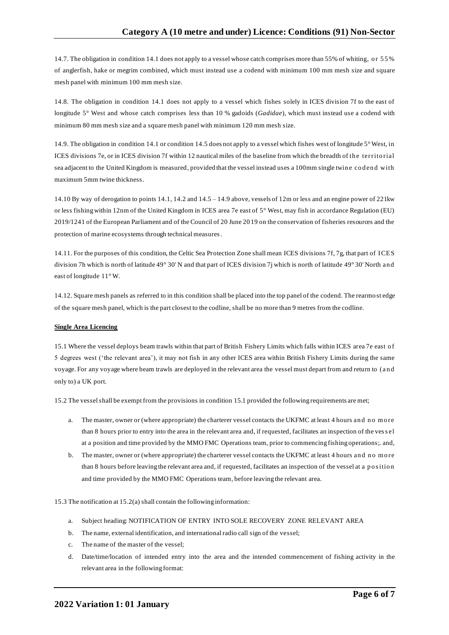14.7. The obligation in condition 14.1 does not apply to a vessel whose catch comprises more than 55% of whiting, or 55% of anglerfish, hake or megrim combined, which must instead use a codend with minimum 100 mm mesh size and square mesh panel with minimum 100 mm mesh size.

14.8. The obligation in condition 14.1 does not apply to a vessel which fishes solely in ICES division 7f to the east of longitude 5° West and whose catch comprises less than 10 % gadoids (*Gadidae*), which must instead use a codend with minimum 80 mm mesh size and a square mesh panel with minimum 120 mm mesh size.

14.9. The obligation in condition 14.1 or condition 14.5 does not apply to a vessel which fishes west of longitude 5° West, in ICES divisions 7e, or in ICES division 7f within 12 nautical miles of the baseline from which the breadth of the territorial sea adjacent to the United Kingdom is measured, provided that the vessel instead uses a 100mm single twine codend with maximum 5mm twine thickness.

14.10 By way of derogation to points 14.1, 14.2 and 14.5 – 14.9 above, vessels of 12m or less and an engine power of 221kw or less fishing within 12nm of the United Kingdom in ICES area 7e east of 5° West, may fish in accordance Regulation (EU) 2019/1241 of the European Parliament and of the Council of 20 June 20 19 on the conservation of fisheries resources and the protection of marine ecosystems through technical measures.

14.11. For the purposes of this condition, the Celtic Sea Protection Zone shall mean ICES divisions 7f, 7g, that part of ICES division 7h which is north of latitude 49° 30' N and that part of ICES division 7j which is north of latitude 49° 30' North an d east of longitude 11° W.

14.12. Square mesh panels as referred to in this condition shall be placed into the top panel of the codend. The rearmost edge of the square mesh panel, which is the part closest to the codline, shall be no more than 9 metres from the codline.

## **Single Area Licencing**

15.1 Where the vessel deploys beam trawls within that part of British Fishery Limits which falls within ICES area 7e east o f 5 degrees west ('the relevant area'), it may not fish in any other ICES area within British Fishery Limits during the same voyage. For any voyage where beam trawls are deployed in the relevant area the vessel must depart from and return to (a nd only to) a UK port.

15.2 The vessel shall be exempt from the provisions in condition 15.1 provided the following requirements are met;

- a. The master, owner or (where appropriate) the charterer vessel contacts the UKFMC at least 4 hours and no more than 8 hours prior to entry into the area in the relevant area and, if requested, facilitates an inspection of the ves s el at a position and time provided by the MMO FMC Operations team, prior to commencing fishing operations;. and,
- b. The master, owner or (where appropriate) the charterer vessel contacts the UKFMC at least 4 hours and no more than 8 hours before leaving the relevant area and, if requested, facilitates an inspection of the vessel at a position and time provided by the MMO FMC Operations team, before leaving the relevant area.

15.3 The notification at 15.2(a) shall contain the following information:

- a. Subject heading: NOTIFICATION OF ENTRY INTO SOLE RECOVERY ZONE RELEVANT AREA
- b. The name, external identification, and international radio call sign of the vessel;
- c. The name of the master of the vessel;
- d. Date/time/location of intended entry into the area and the intended commencement of fishing activity in the relevant area in the following format: